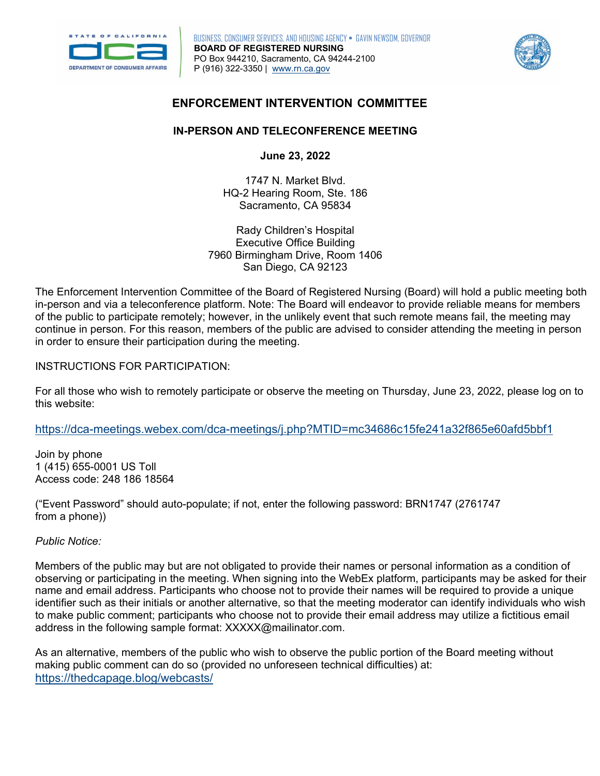

**Ju BOARD OF REGISTERED NURSING**  P (916) 322-3350 | [www.rn.ca.gov](http://www.rn.ca.gov/)  BUSINESS, CONSUMER SERVICES, AND HOUSING AGENCY • GAVIN NEWSOM, GOVERNOR PO Box 944210, Sacramento, CA 94244-2100



### **ENFORCEMENT INTERVENTION COMMITTEE**

## **IN-PERSON AND TELECONFERENCE MEETING**

**June 23, 2022** 

1747 N. Market Blvd. HQ-2 Hearing Room, Ste. 186 Sacramento, CA 95834

Rady Children's Hospital Executive Office Building 7960 Birmingham Drive, Room 1406 San Diego, CA 92123

The Enforcement Intervention Committee of the Board of Registered Nursing (Board) will hold a public meeting both in-person and via a teleconference platform. Note: The Board will endeavor to provide reliable means for members of the public to participate remotely; however, in the unlikely event that such remote means fail, the meeting may continue in person. For this reason, members of the public are advised to consider attending the meeting in person in order to ensure their participation during the meeting.

INSTRUCTIONS FOR PARTICIPATION:

 For all those who wish to remotely participate or observe the meeting on Thursday, June 23, 2022, please log on to this website:

<https://dca-meetings.webex.com/dca-meetings/j.php?MTID=mc34686c15fe241a32f865e60afd5bbf1>

1 (415) 655-0001 US Toll Join by phone Access code: 248 186 18564

("Event Password" should auto-populate; if not, enter the following password: BRN1747 (2761747 from a phone))

*Public Notice:* 

Members of the public may but are not obligated to provide their names or personal information as a condition of observing or participating in the meeting. When signing into the WebEx platform, participants may be asked for their name and email address. Participants who choose not to provide their names will be required to provide a unique identifier such as their initials or another alternative, so that the meeting moderator can identify individuals who wish to make public comment; participants who choose not to provide their email address may utilize a fictitious email address in the following sample format: [XXXXX@mailinator.com](mailto:XXXXX@mailinator.com).

As an alternative, members of the public who wish to observe the public portion of the Board meeting without making public comment can do so (provided no unforeseen technical difficulties) at: <https://thedcapage.blog/webcasts/>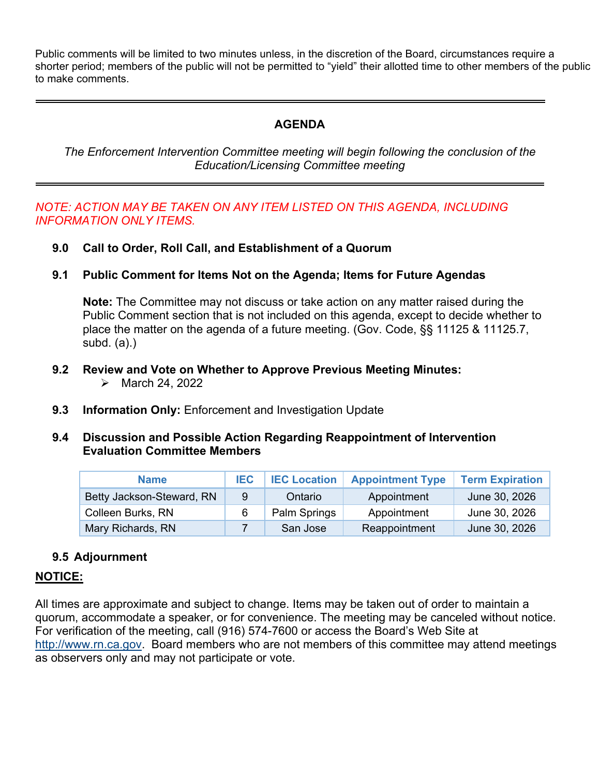Public comments will be limited to two minutes unless, in the discretion of the Board, circumstances require a shorter period; members of the public will not be permitted to "yield" their allotted time to other members of the public to make comments.

# **AGENDA**

 *Education/Licensing Committee meeting The Enforcement Intervention Committee meeting will begin following the conclusion of the* 

### *NOTE: ACTION MAY BE TAKEN ON ANY ITEM LISTED ON THIS AGENDA, INCLUDING INFORMATION ONLY ITEMS.*

- **9.0 Call to Order, Roll Call, and Establishment of a Quorum**
- **9.1 Public Comment for Items Not on the Agenda; Items for Future Agendas**

 place the matter on the agenda of a future meeting. (Gov. Code, §§ 11125 & 11125.7, **Note:** The Committee may not discuss or take action on any matter raised during the Public Comment section that is not included on this agenda, except to decide whether to subd. (a).)

- $\blacktriangleright$  March 24, 2022 **9.2 Review and Vote on Whether to Approve Previous Meeting Minutes:**
- **9.3 Information Only:** Enforcement and Investigation Update
- **9.4 Discussion and Possible Action Regarding Reappointment of Intervention Evaluation Committee Members**

| <b>Name</b>               | <b>IEC</b> | <b>IEC Location</b> | <b>Appointment Type</b> | <b>Term Expiration</b> |
|---------------------------|------------|---------------------|-------------------------|------------------------|
| Betty Jackson-Steward, RN | 9          | Ontario             | Appointment             | June 30, 2026          |
| Colleen Burks, RN         | 6          | Palm Springs        | Appointment             | June 30, 2026          |
| Mary Richards, RN         |            | San Jose            | Reappointment           | June 30, 2026          |

## **9.5 Adjournment**

#### **NOTICE:**

All times are approximate and subject to change. Items may be taken out of order to maintain a quorum, accommodate a speaker, or for convenience. The meeting may be canceled without notice. For verification of the meeting, call (916) 574-7600 or access the Board's Web Site at [http://www.rn.ca.gov.](http://www.rn.ca.gov/) Board members who are not members of this committee may attend meetings as observers only and may not participate or vote.